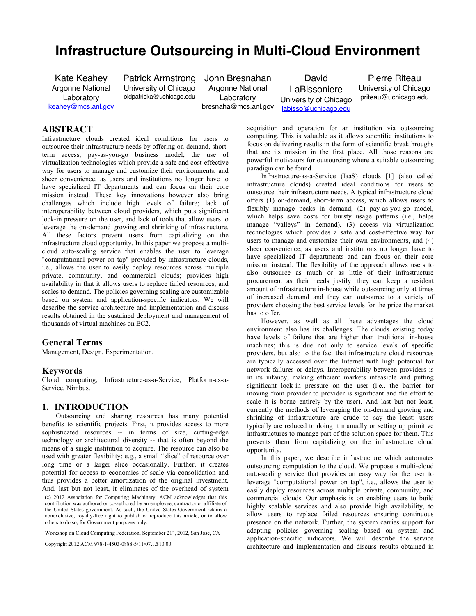# **Infrastructure Outsourcing in Multi-Cloud Environment**

Kate Keahey Argonne National **Laboratory** keahey@mcs.anl.gov Patrick Armstrong University of Chicago oldpatricka@uchicago.edu

John Bresnahan Argonne National Laboratory

bresnaha@mcs.anl.gov

David LaBissoniere University of Chicago labisso@uchicago.edu

Pierre Riteau University of Chicago priteau@uchicago.edu

## **ABSTRACT**

Infrastructure clouds created ideal conditions for users to outsource their infrastructure needs by offering on-demand, shortterm access, pay-as-you-go business model, the use of virtualization technologies which provide a safe and cost-effective way for users to manage and customize their environments, and sheer convenience, as users and institutions no longer have to have specialized IT departments and can focus on their core mission instead. These key innovations however also bring challenges which include high levels of failure; lack of interoperability between cloud providers, which puts significant lock-in pressure on the user, and lack of tools that allow users to leverage the on-demand growing and shrinking of infrastructure. All these factors prevent users from capitalizing on the infrastructure cloud opportunity. In this paper we propose a multicloud auto-scaling service that enables the user to leverage "computational power on tap" provided by infrastructure clouds, i.e., allows the user to easily deploy resources across multiple private, community, and commercial clouds; provides high availability in that it allows users to replace failed resources; and scales to demand. The policies governing scaling are customizable based on system and application-specific indicators. We will describe the service architecture and implementation and discuss results obtained in the sustained deployment and management of thousands of virtual machines on EC2.

## **General Terms**

Management, Design, Experimentation.

## **Keywords**

Cloud computing, Infrastructure-as-a-Service, Platform-as-a-Service, Nimbus.

## **1. INTRODUCTION**

Outsourcing and sharing resources has many potential benefits to scientific projects. First, it provides access to more sophisticated resources -- in terms of size, cutting-edge technology or architectural diversity -- that is often beyond the means of a single institution to acquire. The resource can also be used with greater flexibility: e.g., a small "slice" of resource over long time or a larger slice occasionally. Further, it creates potential for access to economies of scale via consolidation and thus provides a better amortization of the original investment. And, last but not least, it eliminates of the overhead of system (c) 2012 Association for Computing Machinery. ACM acknowledges that this contribution was authored or co-authored by an employee, contractor or affiliate of the United States government. As such, the United States Government retains a nonexclusive, royalty-free right to publish or reproduce this article, or to allow others to do so, for Government purposes only.

Workshop on Cloud Computing Federation, September 21st, 2012, San Jose, CA

Copyright 2012 ACM 978-1-4503-0888-5/11/07…\$10.00.

acquisition and operation for an institution via outsourcing computing. This is valuable as it allows scientific institutions to focus on delivering results in the form of scientific breakthroughs that are its mission in the first place. All those reasons are powerful motivators for outsourcing where a suitable outsourcing paradigm can be found.

Infrastructure-as-a-Service (IaaS) clouds [1] (also called infrastructure clouds) created ideal conditions for users to outsource their infrastructure needs. A typical infrastructure cloud offers (1) on-demand, short-term access, which allows users to flexibly manage peaks in demand, (2) pay-as-you-go model, which helps save costs for bursty usage patterns (i.e., helps manage "valleys" in demand), (3) access via virtualization technologies which provides a safe and cost-effective way for users to manage and customize their own environments, and (4) sheer convenience, as users and institutions no longer have to have specialized IT departments and can focus on their core mission instead. The flexibility of the approach allows users to also outsource as much or as little of their infrastructure procurement as their needs justify: they can keep a resident amount of infrastructure in-house while outsourcing only at times of increased demand and they can outsource to a variety of providers choosing the best service levels for the price the market has to offer.

However, as well as all these advantages the cloud environment also has its challenges. The clouds existing today have levels of failure that are higher than traditional in-house machines; this is due not only to service levels of specific providers, but also to the fact that infrastructure cloud resources are typically accessed over the Internet with high potential for network failures or delays. Interoperability between providers is in its infancy, making efficient markets infeasible and putting significant lock-in pressure on the user (i.e., the barrier for moving from provider to provider is significant and the effort to scale it is borne entirely by the user). And last but not least, currently the methods of leveraging the on-demand growing and shrinking of infrastructure are crude to say the least: users typically are reduced to doing it manually or setting up primitive infrastructures to manage part of the solution space for them. This prevents them from capitalizing on the infrastructure cloud opportunity.

In this paper, we describe infrastructure which automates outsourcing computation to the cloud. We propose a multi-cloud auto-scaling service that provides an easy way for the user to leverage "computational power on tap", i.e., allows the user to easily deploy resources across multiple private, community, and commercial clouds. Our emphasis is on enabling users to build highly scalable services and also provide high availability, to allow users to replace failed resources ensuring continuous presence on the network. Further, the system carries support for adapting policies governing scaling based on system and application-specific indicators. We will describe the service architecture and implementation and discuss results obtained in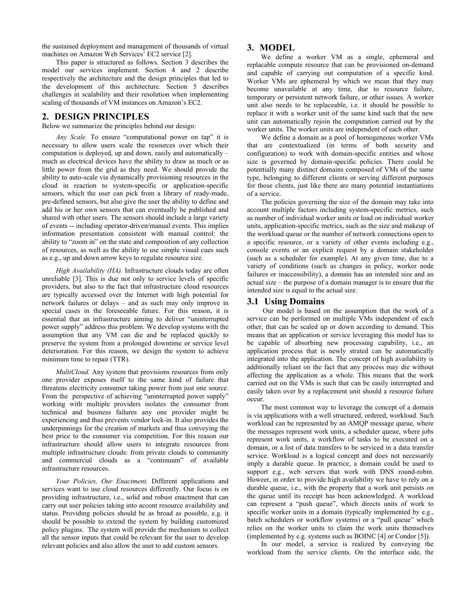the sustained deployment and management of thousands of virtual machines on Amazon Web Services' EC2 service [2].

This paper is structured as follows. Section 3 describes the model our services implement. Section 4 and 2 describe respectively the architecture and the design principles that led to the development of this architecture. Section 5 describes challenges in scalability and their resolution when implementing scaling of thousands of VM instances on Amazon's EC2.

## **2. DESIGN PRINCIPLES**

Below we summarize the principles behind our design:

*Any Scale.* To ensure "computational power on tap" it is necessary to allow users scale the resources over which their computation is deployed, up and down, easily and automatically – much as electrical devices have the ability to draw as much or as little power from the grid as they need. We should provide the ability to auto-scale via dynamically provisioning resources in the cloud in reaction to system-specific or application-specific sensors, which the user can pick from a library of ready-made, pre-defined sensors, but also give the user the ability to define and add his or her own sensors that can eventually be published and shared with other users. The sensors should include a large variety of events -- including operator-driven/manual events. This implies information presentation consistent with manual control: the ability to "zoom in" on the state and composition of any collection of resources, as well as the ability to use simple visual cues such as e.g., up and down arrow keys to regulate resource size.

*High Availability (HA).* Infrastructure clouds today are often unreliable [3]. This is due not only to service levels of specific providers, but also to the fact that infrastructure cloud resources are typically accessed over the Internet with high potential for network failures or delays – and as such may only improve in special cases in the foreseeable future. For this reason, it is essential that an infrastructure aiming to deliver "uninterrupted power supply" address this problem. We develop systems with the assumption that any VM can die and be replaced quickly to preserve the system from a prolonged downtime or service level deterioration. For this reason, we design the system to achieve minimum time to repair (TTR).

*MultiCloud.* Any system that provisions resources from only one provider exposes itself to the same kind of failure that threatens electricity consumer taking power from just one source. From the perspective of achieving "uninterrupted power supply" working with multiple providers isolates the consumer from technical and business failures any one provider might be experiencing and thus prevents vendor lock-in. It also provides the underpinnings for the creation of markets and thus conveying the best price to the consumer via competition. For this reason our infrastructure should allow users to integrate resources from multiple infrastructure clouds: from private clouds to community and commercial clouds as a "continuum" of available infrastructure resources.

*Your Policies, Our Enactment.* Different applications and services want to use cloud resources differently. Our focus is on providing infrastructure, i.e., solid and robust enactment that can carry out user policies taking into accont resource availability and status. Providing policies should be as broad as possible, e.g. it should be possible to extend the system by building customized policy plugins. The system will provide the mechanism to collect all the sensor inputs that could be relevant for the user to develop relevant policies and also allow the user to add custom sensors.

## **3. MODEL**

We define a worker VM as a single, ephemeral and replacable compute resource that can be provisioned on-demand and capable of carrying out computation of a specific kind. Worker VMs are ephemeral by which we mean that they may become unavailable at any time, due to resource failure, temporary or persistent network failure, or other issues. A worker unit also needs to be replaceable, i.e. it should be possible to replace it with a worker unit of the same kind such that the new unit can automatically rejoin the computation carried out by the worker units. The worker units are independent of each other.

We define a domain as a pool of homogeneous worker VMs that are contextualized (in terms of both security and configuration) to work with domain-specific entities and whose size is governed by domain-specific policies. There could be potentially many distinct domains composed of VMs of the same type, belonging to different clients or serving different purposes for those clients, just like there are many potential instantiations of a service.

The policies governing the size of the domain may take into account multiple factors including system-specific metrics, such as number of individual worker units or load on individual worker units, application-specific metrics, such as the size and makeup of the workload queue or the number of network connections open to a specific resource, or a variety of other events including e.g., console events or an explicit request by a domain stakeholder (such as a scheduler for example). At any given time, due to a variety of conditions (such as changes in policy, worker node failures or inaccessibility), a domain has an intended size and an actual size – the purpose of a domain manager is to ensure that the intended size is equal to the actual size.

#### **3.1 Using Domains**

 Our model is based on the assumption that the work of a service can be performed on multiple VMs independent of each other, that can be scaled up or down according to demand. This means that an application or service leveraging this model has to be capable of absorbing new processing capability, i.e., an application process that is newly strated can be automatically integrated into the application. The concept of high availability is additionally reliant on the fact that any process may die without affecting the application as a whole. This means that the work carried out on the VMs is such that can be easily interrupted and easily taken over by a replacement unit should a resource failure occur.

The most common way to leverage the concept of a domain is via applications with a well structured, ordered, workload. Such workload can be represented by an AMQP message queue, where the messages represent work units, a scheduler queue, where jobs represent work units, a workflow of tasks to be executed on a domain, or a list of data transfers to be serviced in a data transfer service. Workload is a logical concept and does not necessarily imply a durable queue. In practice, a domain could be used to support e.g., web servers that work with DNS round-robin. Howeer, in order to provide high availability we have to rely on a durable queue, i.e., with the property that a work unit persists on the queue until its receipt has been acknowledged. A workload can represent a "push queue", which directs units of work to specific worker units in a domain (typically implemented by e.g., batch schedulers or workflow systems) or a "pull queue" which relies on the worker units to claim the work units themselves (implemented by e.g. systems such as BOINC [4] or Condor [5]).

In our model, a service is realized by conveying the workload from the service clients. On the interface side, the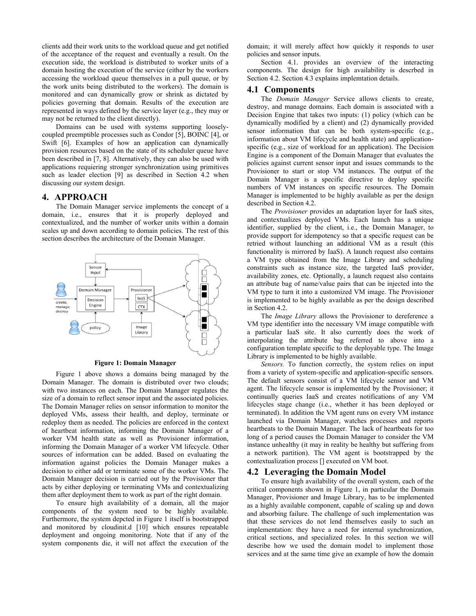clients add their work units to the workload queue and get notified of the acceptance of the request and eventually a result. On the execution side, the workload is distributed to worker units of a domain hosting the execution of the service (either by the workers accessing the workload queue themselves in a pull queue, or by the work units being distributed to the workers). The domain is monitored and can dynamically grow or shrink as dictated by policies governing that domain. Results of the execution are represented in ways defined by the service layer (e.g., they may or may not be returned to the client directly).

Domains can be used with systems supporting looselycoupled preemptible processes such as Condor [5], BOINC [4], or Swift [6]. Examples of how an application can dynamically provision resources based on the state of its scheduler queue have been described in [7, 8]. Alternatively, they can also be used with applications requiering stronger synchronization using primitives such as leader election [9] as described in Section 4.2 when discussing our system design.

#### **4. APPROACH**

The Domain Manager service implements the concept of a domain, i.e., ensures that it is properly deployed and contextualized, and the number of worker units within a domain scales up and down according to domain policies. The rest of this section describes the architecture of the Domain Manager.



**Figure 1: Domain Manager**

Figure 1 above shows a domains being managed by the Domain Manager. The domain is distributed over two clouds; with two instances on each. The Domain Manager regulates the size of a domain to reflect sensor input and the associated policies. The Domain Manager relies on sensor information to monitor the deployed VMs, assess their health, and deploy, terminate or redeploy them as needed. The policies are enforced in the context of heartbeat information, informing the Domain Manager of a worker VM health state as well as Provisioner information, informing the Domain Manager of a worker VM lifecycle. Other sources of information can be added. Based on evaluating the information against policies the Domain Manager makes a decision to either add or terminate some of the worker VMs. The Domain Manager decision is carried out by the Provisioner that acts by either deploying or terminating VMs and contextualizing them after deployment them to work as part of the right domain.

To ensure high availability of a domain, all the major components of the system need to be highly available. Furthermore, the system depcted in Figure 1 itself is bootstrapped and monitored by cloudinit.d [10] which ensures repeatable deployment and ongoing monitoring. Note that if any of the system components die, it will not affect the execution of the domain; it will merely affect how quickly it responds to user policies and sensor inputs.

Section 4.1. provides an overview of the interacting components. The design for high availability is descrbed in Section 4.2. Section 4.3 explains implemtation details.

#### **4.1 Components**

The *Domain Manager* Service allows clients to create, destroy, and manage domains. Each domain is associated with a Decision Engine that takes two inputs: (1) policy (which can be dynamically modified by a client) and (2) dynamically provided sensor information that can be both system-specific (e.g., information about VM lifecycle and health state) and applicationspecific (e.g., size of workload for an application). The Decision Engine is a component of the Domain Manager that evaluates the policies against current sensor input and issues commands to the Provisioner to start or stop VM instances. The output of the Domain Manager is a specific directive to deploy specific numbers of VM instances on specific resources. The Domain Manager is implemented to be highly available as per the design described in Section 4.2.

The *Provisioner* provides an adaptation layer for IaaS sites, and contextualizes deployed VMs. Each launch has a unique identifier, supplied by the client, i.e., the Domain Manager, to provide support for idempotency so that a specific request can be retried without launching an additional VM as a result (this functionality is mirrored by IaaS). A launch request also contains a VM type obtained from the Image Library and scheduling constraints such as instance size, the targeted IaaS provider, availability zones, etc. Optionally, a launch request also contains an attribute bag of name/value pairs that can be injected into the VM type to turn it into a customized VM image. The Provisioner is implemented to be highly available as per the design described in Section 4.2.

The *Image Library* allows the Provisioner to dereference a VM type identifier into the necessary VM image compatible with a particular IaaS site. It also currently does the work of interpolating the attribute bag referred to above into a configuration template specific to the deployable type. The Image Library is implemented to be highly available.

*Sensors.* To function correctly, the system relies on input from a variety of system-specific and application-specific sensors. The default sensors consist of a VM lifecycle sensor and VM agent. The lifecycle sensor is implemented by the Provisioner; it continually queries IaaS and creates notifications of any VM lifecycles stage change (i.e., whether it has been deployed or terminated). In addition the VM agent runs on every VM instance launched via Domain Manager, watches processes and reports heartbeats to the Domain Manager. The lack of heartbeats for too long of a period causes the Domain Manager to consider the VM instance unhealthy (it may in reality be healthy but suffering from a network partition). The VM agent is bootstrapped by the contextualization process [] executed on VM boot.

## **4.2 Leveraging the Domain Model**

To ensure high availability of the overall system, each of the critical components shown in Figure 1, in particular the Domain Manager, Provisioner and Image Library, has to be implemented as a highly available component, capable of scaling up and down and absorbing failure. The challenge of such implementation was that these services do not lend themselves easily to such an implementation: they have a need for internal synchronization, critical sections, and specialized roles. In this section we will describe how we used the domain model to implement those services and at the same time give an example of how the domain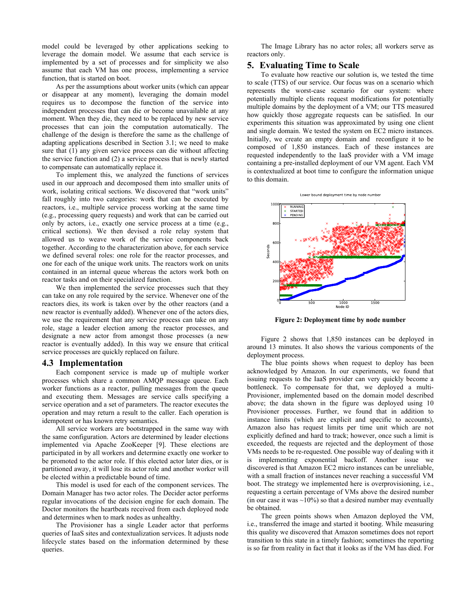model could be leveraged by other applications seeking to leverage the domain model. We assume that each service is implemented by a set of processes and for simplicity we also assume that each VM has one process, implementing a service function, that is started on boot.

As per the assumptions about worker units (which can appear or disappear at any moment), leveraging the domain model requires us to decompose the function of the service into independent processes that can die or become unavailable at any moment. When they die, they need to be replaced by new service processes that can join the computation automatically. The challenge of the design is therefore the same as the challenge of adapting applications described in Section 3.1; we need to make sure that (1) any given service process can die without affecting the service function and (2) a service process that is newly started to compensate can automatically replace it.

To implement this, we analyzed the functions of services used in our approach and decomposed them into smaller units of work, isolating critical sections. We discovered that "work units" fall roughly into two categories: work that can be executed by reactors, i.e., multiple service process working at the same time (e.g., processing query requests) and work that can be carried out only by actors, i.e., exactly one service process at a time (e.g., critical sections). We then devised a role relay system that allowed us to weave work of the service components back together. According to the characterization above, for each service we defined several roles: one role for the reactor processes, and one for each of the unique work units. The reactors work on units contained in an internal queue whereas the actors work both on reactor tasks and on their specialized function.

We then implemented the service processes such that they can take on any role required by the service. Whenever one of the reactors dies, its work is taken over by the other reactors (and a new reactor is eventually added). Whenever one of the actors dies, we use the requirement that any service process can take on any role, stage a leader election among the reactor processes, and designate a new actor from amongst those processes (a new reactor is eventually added). In this way we ensure that critical service processes are quickly replaced on failure.

#### **4.3 Implementation**

Each component service is made up of multiple worker processes which share a common AMQP message queue. Each worker functions as a reactor, pulling messages from the queue and executing them. Messages are service calls specifying a service operation and a set of parameters. The reactor executes the operation and may return a result to the caller. Each operation is idempotent or has known retry semantics.

All service workers are bootstrapped in the same way with the same configuration. Actors are determined by leader elections implemented via Apache ZooKeeper [9]. These elections are participated in by all workers and determine exactly one worker to be promoted to the actor role. If this elected actor later dies, or is partitioned away, it will lose its actor role and another worker will be elected within a predictable bound of time.

This model is used for each of the component services. The Domain Manager has two actor roles. The Decider actor performs regular invocations of the decision engine for each domain. The Doctor monitors the heartbeats received from each deployed node and determines when to mark nodes as unhealthy.

The Provisioner has a single Leader actor that performs queries of IaaS sites and contextualization services. It adjusts node lifecycle states based on the information determined by these queries.

The Image Library has no actor roles; all workers serve as reactors only.

## **5. Evaluating Time to Scale**

To evaluate how reactive our solution is, we tested the time to scale (TTS) of our service. Our focus was on a scenario which represents the worst-case scenario for our system: where potentially multiple clients request modifications for potentially multiple domains by the deployment of a VM; our TTS measured how quickly those aggregate requests can be satisfied. In our experiments this situation was approximated by using one client and single domain. We tested the system on EC2 micro instances. Initially, we create an empty domain and reconfigure it to be composed of 1,850 instances. Each of these instances are requested independently to the IaaS provider with a VM image containing a pre-installed deployment of our VM agent. Each VM is contextualized at boot time to configure the information unique to this domain.



**Figure 2: Deployment time by node number**

Figure 2 shows that 1,850 instances can be deployed in around 13 minutes. It also shows the various components of the deployment process.

The blue points shows when request to deploy has been acknowledged by Amazon. In our experiments, we found that issuing requests to the IaaS provider can very quickly become a bottleneck. To compensate for that, we deployed a multi-Provisioner, implemented based on the domain model described above; the data shown in the figure was deployed using 10 Provisioner processes. Further, we found that in addition to instance limits (which are explicit and specific to accounts), Amazon also has request limits per time unit which are not explicitly defined and hard to track; however, once such a limit is exceeded, the requests are rejected and the deployment of those VMs needs to be re-requested. One possible way of dealing with it is implementing exponential backoff. Another issue we discovered is that Amazon EC2 micro instances can be unreliable, with a small fraction of instances never reaching a successful VM boot. The strategy we implemented here is overprovisioning, i.e., requesting a certain percentage of VMs above the desired number (in our case it was  $\sim$ 10%) so that a desired number may eventually be obtained.

The green points shows when Amazon deployed the VM, i.e., transferred the image and started it booting. While measuring this quality we discovered that Amazon sometimes does not report transition to this state in a timely fashion; sometimes the reporting is so far from reality in fact that it looks as if the VM has died. For